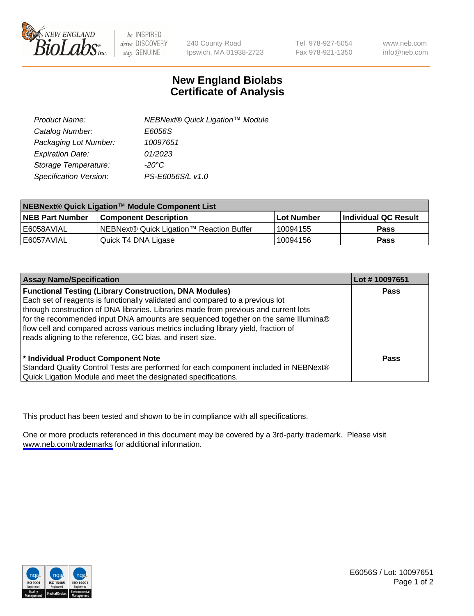

be INSPIRED drive DISCOVERY stay GENUINE

240 County Road Ipswich, MA 01938-2723 Tel 978-927-5054 Fax 978-921-1350

www.neb.com info@neb.com

## **New England Biolabs Certificate of Analysis**

| Product Name:           | NEBNext® Quick Ligation™ Module |
|-------------------------|---------------------------------|
| Catalog Number:         | E6056S                          |
| Packaging Lot Number:   | 10097651                        |
| <b>Expiration Date:</b> | 01/2023                         |
| Storage Temperature:    | $-20^{\circ}$ C                 |
| Specification Version:  | PS-E6056S/L v1.0                |

| NEBNext® Quick Ligation™ Module Component List |                                          |            |                      |  |
|------------------------------------------------|------------------------------------------|------------|----------------------|--|
| <b>NEB Part Number</b>                         | <b>Component Description</b>             | Lot Number | Individual QC Result |  |
| I E6058AVIAL                                   | NEBNext® Quick Ligation™ Reaction Buffer | ' 10094155 | <b>Pass</b>          |  |
| l E6057AVIAL                                   | Quick T4 DNA Ligase                      | 10094156   | <b>Pass</b>          |  |

| <b>Assay Name/Specification</b>                                                      | Lot #10097651 |
|--------------------------------------------------------------------------------------|---------------|
| <b>Functional Testing (Library Construction, DNA Modules)</b>                        | <b>Pass</b>   |
| Each set of reagents is functionally validated and compared to a previous lot        |               |
| through construction of DNA libraries. Libraries made from previous and current lots |               |
| for the recommended input DNA amounts are sequenced together on the same Illumina®   |               |
| flow cell and compared across various metrics including library yield, fraction of   |               |
| reads aligning to the reference, GC bias, and insert size.                           |               |
|                                                                                      |               |
| * Individual Product Component Note                                                  | Pass          |
| Standard Quality Control Tests are performed for each component included in NEBNext® |               |
| Quick Ligation Module and meet the designated specifications.                        |               |

This product has been tested and shown to be in compliance with all specifications.

One or more products referenced in this document may be covered by a 3rd-party trademark. Please visit <www.neb.com/trademarks>for additional information.